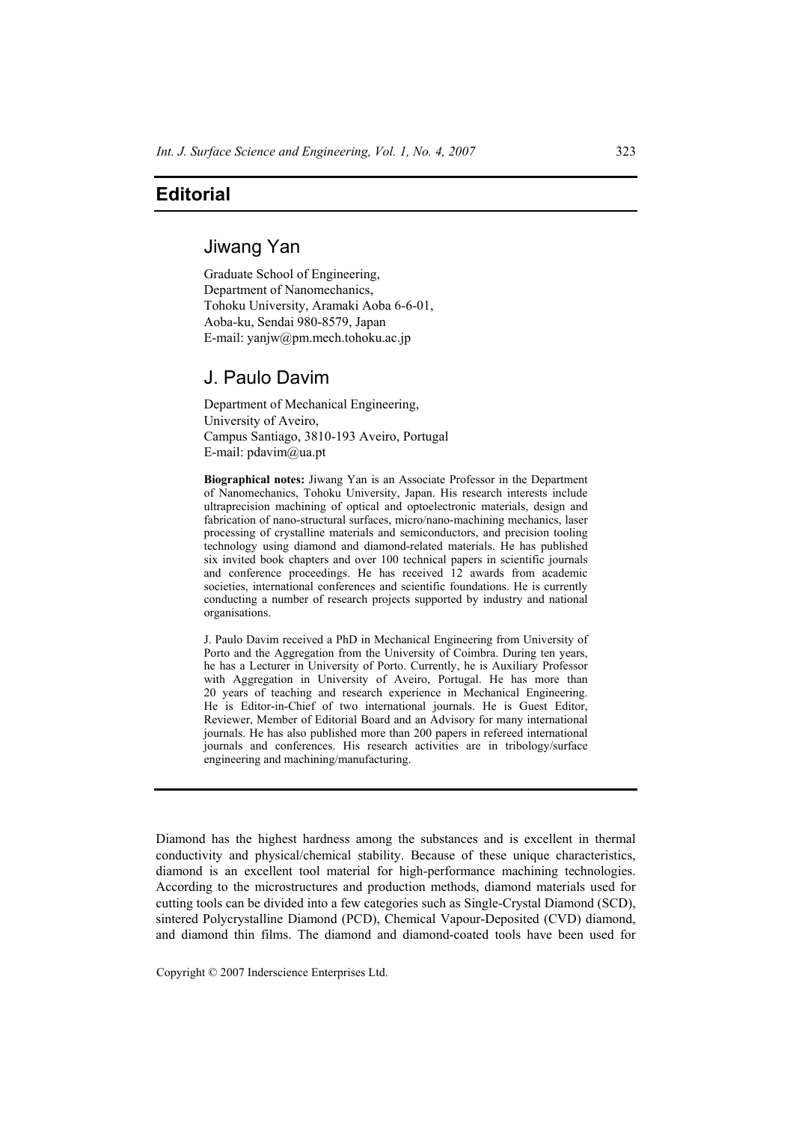## **Editorial**

## Jiwang Yan

Graduate School of Engineering, Department of Nanomechanics, Tohoku University, Aramaki Aoba 6-6-01, Aoba-ku, Sendai 980-8579, Japan E-mail: yanjw@pm.mech.tohoku.ac.jp

## J. Paulo Davim

Department of Mechanical Engineering, University of Aveiro, Campus Santiago, 3810-193 Aveiro, Portugal E-mail: pdavim@ua.pt

**Biographical notes:** Jiwang Yan is an Associate Professor in the Department of Nanomechanics, Tohoku University, Japan. His research interests include ultraprecision machining of optical and optoelectronic materials, design and fabrication of nano-structural surfaces, micro/nano-machining mechanics, laser processing of crystalline materials and semiconductors, and precision tooling technology using diamond and diamond-related materials. He has published six invited book chapters and over 100 technical papers in scientific journals and conference proceedings. He has received 12 awards from academic societies, international conferences and scientific foundations. He is currently conducting a number of research projects supported by industry and national organisations.

J. Paulo Davim received a PhD in Mechanical Engineering from University of Porto and the Aggregation from the University of Coimbra. During ten years, he has a Lecturer in University of Porto. Currently, he is Auxiliary Professor with Aggregation in University of Aveiro, Portugal. He has more than 20 years of teaching and research experience in Mechanical Engineering. He is Editor-in-Chief of two international journals. He is Guest Editor, Reviewer, Member of Editorial Board and an Advisory for many international journals. He has also published more than 200 papers in refereed international journals and conferences. His research activities are in tribology/surface engineering and machining/manufacturing.

Diamond has the highest hardness among the substances and is excellent in thermal conductivity and physical/chemical stability. Because of these unique characteristics, diamond is an excellent tool material for high-performance machining technologies. According to the microstructures and production methods, diamond materials used for cutting tools can be divided into a few categories such as Single-Crystal Diamond (SCD), sintered Polycrystalline Diamond (PCD), Chemical Vapour-Deposited (CVD) diamond, and diamond thin films. The diamond and diamond-coated tools have been used for

Copyright © 2007 Inderscience Enterprises Ltd.